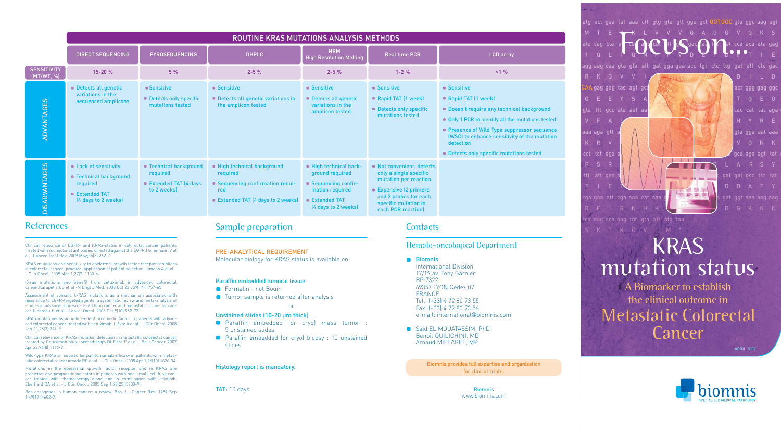atg act gaa tat aaa ctt gtg gta gtt gga gct <mark>GGTGG</mark>C gta ggc aag ag<sup>.</sup> MTEYKLV V VGAGGVGKS For California of the California of the California of the California of the California of the California of the California of the California of the California of the California of the California of the California of the Ca cca aca ata gag I QL I QNHF VDE YDPT I E gat gga gaa acc tgt ctc ttg gat att ctc ga RKQVVI DILD CAA gag gag tac agt gca atg agg gac cag tac atg agg act ggg gag ggc S A Y S AMRDD T G E G gta ttt gcc ata aat aat act aaa tca ttt gaa gat att cac cat tat aga g H Y R E aaa aga gtt a**ag gac ta gac ta gac ta'u gac ta'u gac ta'u gac aat aaa** KRV HISTORICAL PRODUCT IN THE VERW PMV GRV PMV L VG NUMBER OF A REPORT OF A REPORT OF A REPORT OF A REPORT OF A REPORT OF A REPORT OF A REPORT OF A REPORT OF A REPORT OF A REPORT OF A REPORT OF A REPORT OF A REPORT OF A RE cct tct aga aca gta gac aca aaa cag gct cag gac tta gca aga agt tat g  $111$ S R T V A L **A T T T T** ttt att gaa and and and a gat gat gat gcc ttc tat F I ETAN DD cga gaa att cga aaa cat aaa gaa aag atg agc aaa gat ggt aaa aag aag <sup>a</sup> RE I RKHK $\leftarrow$  DGKKK tca aag aca aag tgt gta att atg taa

**Paraffin embedded (or cryo) mass tumor :** 5 unstained slides

**Paraffin embedded (or cryo) biopsy : 10 unstained** slides

Saïd EL MOUATASSIM, PhD Benoît QUILICHINI, MD Arnaud MILLARET, MP

# KRAS mutation status

SKT KC V I M

A Biomarker to establish the clinical outcome in Metastatic Colorectal Cancer

APRIL 2009



## Sample preparation

PRE-ANALYTICAL REQUIREMENT

Molecular biology for KRAS status is available on:

#### Paraffin embedded tumoral tissue

- **•** Formalin not Bouin
- **O** Tumor sample is returned after analysis

or

#### Unstained slides (10-20 μm thick)

#### Histology report is mandatory.

TAT: 10 days

#### **Contacts**

#### Hemato-oncological Department

**Biomnis** 

International Division 17/19 av. Tony Garnier BP 7322 69357 LYON Cedex 07 FRANCE Tel.: (+33) 4 72 80 73 55 Fax: (+33) 4 72 80 73 56 e-mail: international@biomnis.com

> Biomnis www.biomnis.com

Clinical relevance of KRAS mutation detection in metastatic colorectal cancer treated by Cetuximab plus chemotherapy.Di Fiore F et al - Br J Cancer. 2007 Apr 23;96(8):1166-9.

## References

Clinical relevance of EGFR- and KRAS-status in colorectal cancer patients treated with monoclonal antibodies directed against the EGFR.Heinemann V et al - Cancer Treat Rev. 2009 May;35(3):262-71

|                                  | ROUTINE KRAS MUTATIONS ANALYSIS METHODS                                                            |                                                                             |                                                                                                                               |                                                                                                                             |                                                                                                                                                                               |                                                                                                                                                                                                                                                                                          |
|----------------------------------|----------------------------------------------------------------------------------------------------|-----------------------------------------------------------------------------|-------------------------------------------------------------------------------------------------------------------------------|-----------------------------------------------------------------------------------------------------------------------------|-------------------------------------------------------------------------------------------------------------------------------------------------------------------------------|------------------------------------------------------------------------------------------------------------------------------------------------------------------------------------------------------------------------------------------------------------------------------------------|
|                                  | <b>DIRECT SEQUENCING</b>                                                                           | <b>PYROSEQUENCING</b>                                                       | <b>DHPLC</b>                                                                                                                  | <b>HRM</b><br><b>High Resolution Melting</b>                                                                                | <b>Real time PCR</b>                                                                                                                                                          | <b>LCD</b> array                                                                                                                                                                                                                                                                         |
| <b>SENSITIVITY</b><br>(MT/WT, %) | $15 - 20%$                                                                                         | 5%                                                                          | $2 - 5%$                                                                                                                      | $2 - 5%$                                                                                                                    | $1 - 2%$                                                                                                                                                                      | <1%                                                                                                                                                                                                                                                                                      |
| <b>ADVANTAGES</b>                | <b>Detects all genetic</b><br>variations in the<br>sequenced amplicons                             | ■ Sensitive<br>• Detects only specific<br>mutations tested                  | <b>Sensitive</b><br><b>Detects all genetic variations in</b><br>the amplicon tested                                           | • Sensitive<br><b>Detects all genetic</b><br>variations in the<br>amplicon tested                                           | ■ Sensitive<br>Rapid TAT (1 week)<br>Detects only specific<br>mutations tested                                                                                                | ■ Sensitive<br>Rapid TAT (1 week)<br>Doesn't require any technical background<br>Only 1 PCR to identify all the mutations tested<br>• Presence of Wild Type suppressor sequence<br>(WSC) to enhance sensitivity of the mutation<br>detection<br>• Detects only specific mutations tested |
| <b>DISADVANTAGES</b>             | Lack of sensitivity<br>■ Technical background<br>required<br>■ Extended TAT<br>(4 days to 2 weeks) | ■ Technical background<br>required<br>■ Extended TAT (4 days<br>to 2 weeks) | High technical background<br>required<br>• Sequencing confirmation requi-<br><b>red</b><br>■ Extended TAT (4 days to 2 weeks) | High technical back-<br>ground required<br>• Sequencing confir-<br>mation required<br>■ Extended TAT<br>(4 days to 2 weeks) | ■ Not convenient: detects<br>only a single specific<br>mutation per reaction<br>■ Expensive (2 primers<br>and 2 probes for each<br>specific mutation in<br>each PCR reaction) |                                                                                                                                                                                                                                                                                          |

KRAS mutations and sensitivity to epidermal growth factor receptor inhibitors in colorectal cancer: practical application of patient selection. Jimeno A et al - J Clin Oncol. 2009 Mar 1;27(7):1130-6.

K-ras mutations and benefit from cetuximab in advanced colorectal cancer.Karapetis CS et al -N Engl J Med. 2008 Oct 23;359(17):1757-65.

Assessment of somatic k-RAS mutations as a mechanism associated with resistance to EGFR-targeted agents: a systematic review and meta-analysis of studies in advanced non-small-cell lung cancer and metastatic colorectal cancer. Linardou H et al - Lancet Oncol. 2008 Oct;9(10):962-72.

KRAS mutations as an independent prognostic factor in patients with advanced colorectal cancer treated with cetuximab. Lièvre A et al - J Clin Oncol. 2008 Jan 20;26(3):374-9.

Wild-type KRAS is required for panitumumab efficacy in patients with metastatic colorectal cancer.Amado RG et al - J Clin Oncol. 2008 Apr 1;26(10):1626-34.

Mutations in the epidermal growth factor receptor and in KRAS are predictive and prognostic indicators in patients with non-small-cell lung cancer treated with chemotherapy alone and in combination with erlotinib. Eberhard DA et al - J Clin Oncol. 2005 Sep 1;23(25):5900-9.

Ras oncogenes in human cancer: a review. Bos JL. Cancer Res. 1989 Sep 1;49(17):4682-9.

Biomnis provides full expertise and organization for clinical trials.